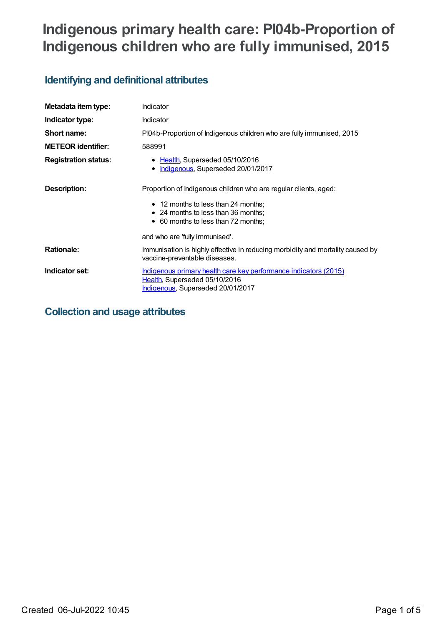# **Indigenous primary health care: PI04b-Proportion of Indigenous children who are fully immunised, 2015**

## **Identifying and definitional attributes**

| Metadata item type:         | Indicator                                                                                                                                      |
|-----------------------------|------------------------------------------------------------------------------------------------------------------------------------------------|
| Indicator type:             | Indicator                                                                                                                                      |
| Short name:                 | PI04b-Proportion of Indigenous children who are fully immunised, 2015                                                                          |
| <b>METEOR identifier:</b>   | 588991                                                                                                                                         |
| <b>Registration status:</b> | • Health, Superseded 05/10/2016<br>Indigenous, Superseded 20/01/2017                                                                           |
| Description:                | Proportion of Indigenous children who are regular clients, aged:<br>• 12 months to less than 24 months;<br>• 24 months to less than 36 months; |
|                             | • 60 months to less than 72 months;<br>and who are 'fully immunised'.                                                                          |
| <b>Rationale:</b>           | Immunisation is highly effective in reducing morbidity and mortality caused by<br>vaccine-preventable diseases.                                |
| Indicator set:              | Indigenous primary health care key performance indicators (2015)<br>Health, Superseded 05/10/2016<br>Indigenous, Superseded 20/01/2017         |

## **Collection and usage attributes**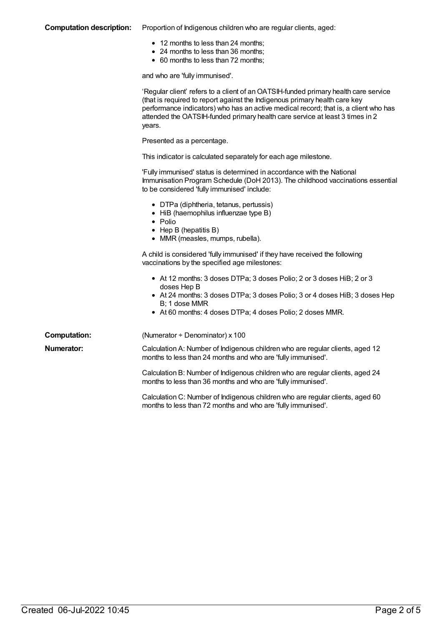#### **Computation description:** Proportion of Indigenous children who are regular clients, aged:

- 12 months to less than 24 months;
- 24 months to less than 36 months;
- 60 months to less than 72 months;

and who are 'fully immunised'.

|                     | 'Regular client' refers to a client of an OATSIH-funded primary health care service<br>(that is required to report against the Indigenous primary health care key<br>performance indicators) who has an active medical record; that is, a client who has<br>attended the OATSIH-funded primary health care service at least 3 times in 2<br>years. |
|---------------------|----------------------------------------------------------------------------------------------------------------------------------------------------------------------------------------------------------------------------------------------------------------------------------------------------------------------------------------------------|
|                     | Presented as a percentage.                                                                                                                                                                                                                                                                                                                         |
|                     | This indicator is calculated separately for each age milestone.                                                                                                                                                                                                                                                                                    |
|                     | 'Fully immunised' status is determined in accordance with the National<br>Immunisation Program Schedule (DoH 2013). The childhood vaccinations essential<br>to be considered 'fully immunised' include:                                                                                                                                            |
|                     | • DTPa (diphtheria, tetanus, pertussis)<br>• HiB (haemophilus influenzae type B)<br>$\bullet$ Polio<br>$\bullet$ Hep B (hepatitis B)<br>• MMR (measles, mumps, rubella).                                                                                                                                                                           |
|                     | A child is considered 'fully immunised' if they have received the following<br>vaccinations by the specified age milestones:                                                                                                                                                                                                                       |
|                     | • At 12 months: 3 doses DTPa; 3 doses Polio; 2 or 3 doses HiB; 2 or 3<br>doses Hep B<br>• At 24 months: 3 doses DTPa; 3 doses Polio; 3 or 4 doses HiB; 3 doses Hep<br>B; 1 dose MMR<br>• At 60 months: 4 doses DTPa; 4 doses Polio; 2 doses MMR.                                                                                                   |
| <b>Computation:</b> | (Numerator ÷ Denominator) x 100                                                                                                                                                                                                                                                                                                                    |
| Numerator:          | Calculation A: Number of Indigenous children who are regular clients, aged 12<br>months to less than 24 months and who are 'fully immunised'.                                                                                                                                                                                                      |
|                     | Calculation B: Number of Indigenous children who are regular clients, aged 24<br>months to less than 36 months and who are 'fully immunised'.                                                                                                                                                                                                      |
|                     | Calculation C: Number of Indigenous children who are regular clients, aged 60<br>months to less than 72 months and who are 'fully immunised'.                                                                                                                                                                                                      |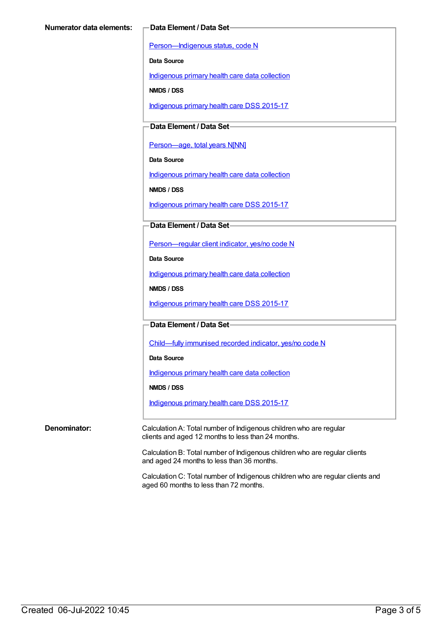[Person—Indigenous](https://meteor.aihw.gov.au/content/291036) status, code N

**Data Source**

[Indigenous](https://meteor.aihw.gov.au/content/430643) primary health care data collection

**NMDS / DSS**

[Indigenous](https://meteor.aihw.gov.au/content/585036) primary health care DSS 2015-17

**Data Element / Data Set**

[Person—age,](https://meteor.aihw.gov.au/content/303794) total years N[NN]

**Data Source**

[Indigenous](https://meteor.aihw.gov.au/content/430643) primary health care data collection

**NMDS / DSS**

[Indigenous](https://meteor.aihw.gov.au/content/585036) primary health care DSS 2015-17

**Data Element / Data Set**

[Person—regular](https://meteor.aihw.gov.au/content/436639) client indicator, yes/no code N

**Data Source**

[Indigenous](https://meteor.aihw.gov.au/content/430643) primary health care data collection

**NMDS / DSS**

[Indigenous](https://meteor.aihw.gov.au/content/585036) primary health care DSS 2015-17

**Data Element / Data Set**

[Child—fully](https://meteor.aihw.gov.au/content/457664) immunised recorded indicator, yes/no code N

**Data Source**

[Indigenous](https://meteor.aihw.gov.au/content/430643) primary health care data collection

**NMDS / DSS**

[Indigenous](https://meteor.aihw.gov.au/content/585036) primary health care DSS 2015-17

**Denominator:** Calculation A: Total number of Indigenous children who are regular clients and aged 12 months to less than 24 months.

> Calculation B: Total number of Indigenous children who are regular clients and aged 24 months to less than 36 months.

Calculation C: Total number of Indigenous children who are regular clients and aged 60 months to less than 72 months.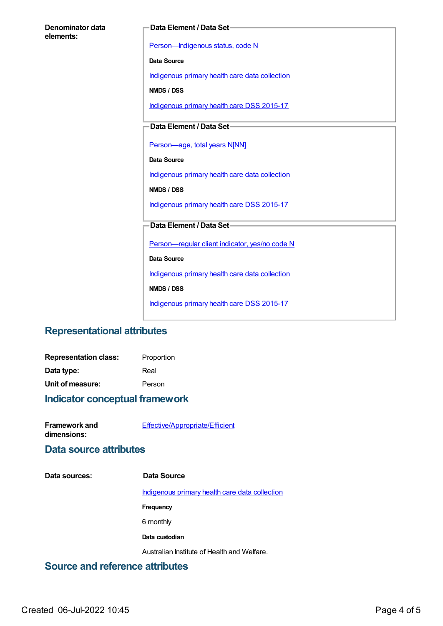| Denominator data |  |
|------------------|--|
| elements:        |  |

#### **Data Element / Data Set**

[Person—Indigenous](https://meteor.aihw.gov.au/content/291036) status, code N

**Data Source**

[Indigenous](https://meteor.aihw.gov.au/content/430643) primary health care data collection

**NMDS / DSS**

[Indigenous](https://meteor.aihw.gov.au/content/585036) primary health care DSS 2015-17

**Data Element / Data Set**

[Person—age,](https://meteor.aihw.gov.au/content/303794) total years N[NN]

**Data Source**

[Indigenous](https://meteor.aihw.gov.au/content/430643) primary health care data collection

**NMDS / DSS**

[Indigenous](https://meteor.aihw.gov.au/content/585036) primary health care DSS 2015-17

#### **Data Element / Data Set**

[Person—regular](https://meteor.aihw.gov.au/content/436639) client indicator, yes/no code N

**Data Source**

[Indigenous](https://meteor.aihw.gov.au/content/430643) primary health care data collection

**NMDS / DSS**

[Indigenous](https://meteor.aihw.gov.au/content/585036) primary health care DSS 2015-17

### **Representational attributes**

| <b>Representation class:</b> | Proportion |
|------------------------------|------------|
| Data type:                   | Real       |
| Unit of measure:             | Person     |

#### **Indicator conceptual framework**

| Framework and | Effective/Appropriate/Efficient |
|---------------|---------------------------------|
| dimensions:   |                                 |

### **Data source attributes**

**Data sources: Data Source**

[Indigenous](https://meteor.aihw.gov.au/content/430643) primary health care data collection

**Frequency**

6 monthly

**Data custodian**

Australian Institute of Health and Welfare.

### **Source and reference attributes**